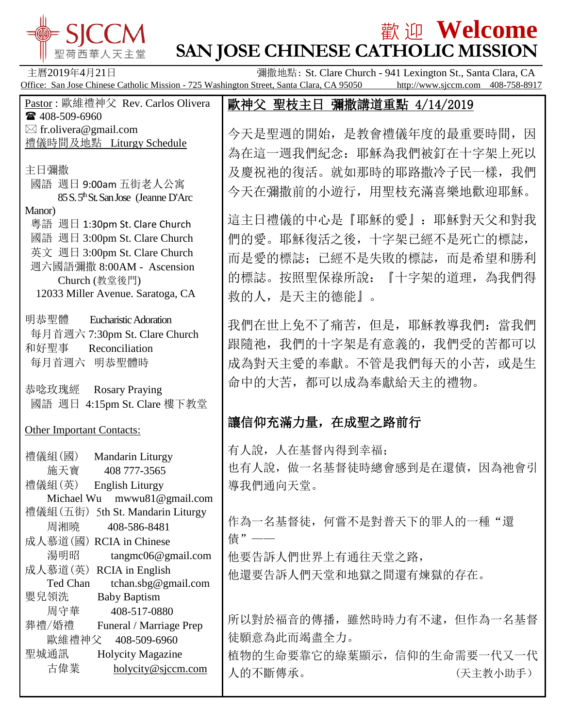

# 歡 迎 **Welcome SAN JOSE CHINESE CATHOLIC MISSION**

歐神父 聖枝主日 彌撒講道重點 4/14/2019

今天是聖週的開始,是教會禮儀年度的最重要時間,因

為在這一週我們紀念:耶穌為我們被釘在十字架上死以

及慶祝祂的復活。就如那時的耶路撒冷子民一樣,我們

今天在彌撒前的小遊行,用聖枝充滿喜樂地歡迎耶穌。

這主日禮儀的中心是『耶穌的愛』:耶穌對天父和對我

而是愛的標誌;已經不是失敗的標誌,而是希望和勝利

的標誌。按照聖保祿所說:『十字架的道理,為我們得

我們在世上免不了痛苦, 但是, 耶穌教導我們: 當我們

跟隨祂,我們的十字架是有意義的,我們受的苦都可以

成為對天主愛的奉獻。不管是我們每天的小苦,或是生

命中的大苦,都可以成為奉獻給天主的禮物。

第七位的大陆中国,在中国中的

們的愛。耶穌復活之後,十字架已經不是死亡的標誌,

主曆2019年4月21日 **Example 2019年4月21日 Tracket St. Clare Church - 941 Lexington St., Santa Clara, CA** Office: San Jose Chinese Catholic Mission - 725 Washington Street, Santa Clara, CA 95050 http://www.sjccm.com 408-758-8917

救的人,是天主的德能』。

Pastor : 歐維禮神父 Rev. Carlos Olivera ■ 408-509-6960  $\boxtimes$  fr.olivera@gmail.com

禮儀時間及地點 Liturgy Schedule

主日彌撒

- 國語 週日 9:00am 五街老人公寓 85 S. 5<sup>th</sup> St. San Jose (Jeanne D'Arc Manor)
- 粵語 週日 1:30pm St. Clare Church 國語 週日 3:00pm St. Clare Church 英文 週日 3:00pm St. Clare Church
- 週六國語彌撒 8:00AM Ascension Church (教堂後門) 12033 Miller Avenue. Saratoga, CA
- 明恭聖體 Eucharistic Adoration 每月首週六 7:30pm St. Clare Church 和好聖事 Reconciliation 每月首週六 明恭聖體時
- 恭唸玫瑰經 Rosary Praying 國語 週日 4:15pm St. Clare 樓下教堂

| <b>Other Important Contacts:</b>                                                                                                                                                    | 藤佰仲兀俩刀里,仕成宝人哈刖1」                                                                                |
|-------------------------------------------------------------------------------------------------------------------------------------------------------------------------------------|-------------------------------------------------------------------------------------------------|
| 禮儀組(國)<br>Mandarin Liturgy<br>施天寶<br>408 777-3565<br>禮儀組(英)<br><b>English Liturgy</b><br>mwwu81@gmail.com<br>Michael Wu                                                             | 有人說,人在基督內得到幸福;<br>也有人說, 做一名基督徒時總會感到是在還債, 因為祂會引<br>導我們通向天堂。                                      |
| 禮儀組(五街)<br>5th St. Mandarin Liturgy<br>周湘曉<br>408-586-8481<br>成人慕道(國) RCIA in Chinese<br>湯明昭<br>tangmc06@gmail.com<br>成人慕道(英)<br>RCIA in English<br>Ted Chan<br>tchan.sbg@gmail.com | 作為一名基督徒, 何嘗不是對普天下的罪人的一種"還<br>債" ——<br>他要告訴人們世界上有通往天堂之路,<br>他還要告訴人們天堂和地獄之間還有煉獄的存在。               |
| <b>Baby Baptism</b><br>嬰兒領洗<br>周守華<br>408-517-0880<br>葬禮/婚禮<br>Funeral / Marriage Prep<br>歐維禮神父<br>408-509-6960<br>聖城通訊<br><b>Holycity Magazine</b><br>古偉業<br>holycity@sjccm.com    | 所以對於福音的傳播,雖然時時力有不逮,但作為一名基督<br>徒願意為此而竭盡全力。<br>植物的生命要靠它的綠葉顯示, 信仰的生命需要一代又一代<br>人的不斷傳承。<br>(天主教小助手) |